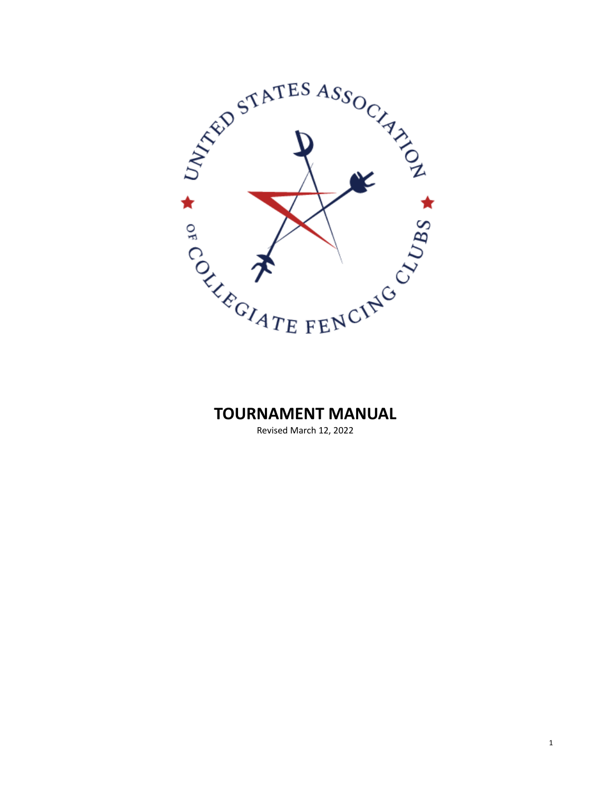

## **TOURNAMENT MANUAL**

Revised March 12, 2022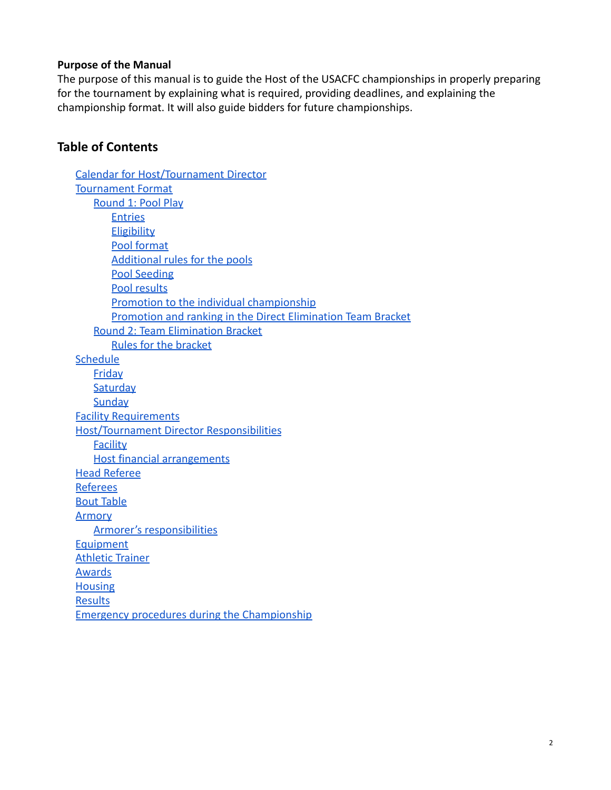#### **Purpose of the Manual**

The purpose of this manual is to guide the Host of the USACFC championships in properly preparing for the tournament by explaining what is required, providing deadlines, and explaining the championship format. It will also guide bidders for future championships.

### **Table of Contents**

[Calendar for Host/Tournament Director](#page-2-0) Tournament Format [Round 1: Pool Play](#page-5-0) Entries **Eligibility** [Pool format](#page-5-1) [Additional rules for the pools](#page-5-2) [Pool Seeding](#page-6-0) [Pool results](#page-6-1) [Promotion to the individual championship](#page-6-2) [Promotion and ranking in the Direct Elimination Team Bracket](#page-6-3) [Round 2: Team Elimination Bracket](#page-7-0) [Rules for the bracket](#page-7-1) **Schedule [Friday](#page-8-0) Saturday Sunday** [Facility Requirements](#page-9-0) [Host/Tournament Director Responsibilities](#page-11-0) **[Facility](#page-11-1)** [Host financial arrangements](#page-12-0) [Head](#page-13-0) Referee [Referees](#page-13-1) [Bout Table](#page-14-0) [Armory](#page-14-1) [Armorer's responsibilities](#page-15-0) [Equipment](#page-15-1) [Athletic Trainer](#page-17-0) [Awards](#page-17-1) **[Housing](#page-17-2) [Results](#page-18-0)** [Emergency procedures during the Championship](#page-18-1)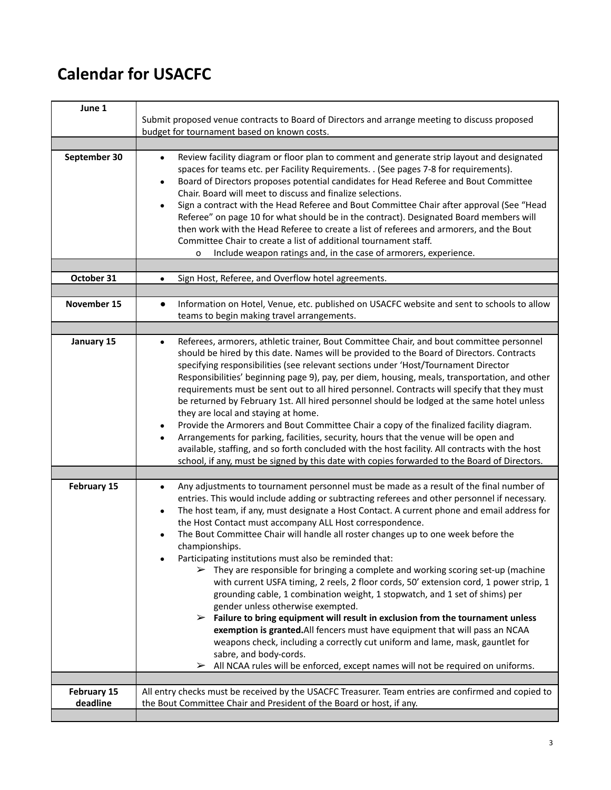# <span id="page-2-0"></span>**Calendar for USACFC**

| June 1                  |                                                                                                                                                                                                                                                                                                                                                                                                                                                                                                                                                                                                                                                                                                                                                                                                                                                                                                                                                                                                                                                                                                                                                                                                                                                         |
|-------------------------|---------------------------------------------------------------------------------------------------------------------------------------------------------------------------------------------------------------------------------------------------------------------------------------------------------------------------------------------------------------------------------------------------------------------------------------------------------------------------------------------------------------------------------------------------------------------------------------------------------------------------------------------------------------------------------------------------------------------------------------------------------------------------------------------------------------------------------------------------------------------------------------------------------------------------------------------------------------------------------------------------------------------------------------------------------------------------------------------------------------------------------------------------------------------------------------------------------------------------------------------------------|
|                         | Submit proposed venue contracts to Board of Directors and arrange meeting to discuss proposed                                                                                                                                                                                                                                                                                                                                                                                                                                                                                                                                                                                                                                                                                                                                                                                                                                                                                                                                                                                                                                                                                                                                                           |
|                         | budget for tournament based on known costs.                                                                                                                                                                                                                                                                                                                                                                                                                                                                                                                                                                                                                                                                                                                                                                                                                                                                                                                                                                                                                                                                                                                                                                                                             |
|                         |                                                                                                                                                                                                                                                                                                                                                                                                                                                                                                                                                                                                                                                                                                                                                                                                                                                                                                                                                                                                                                                                                                                                                                                                                                                         |
| September 30            | Review facility diagram or floor plan to comment and generate strip layout and designated<br>$\bullet$<br>spaces for teams etc. per Facility Requirements. . (See pages 7-8 for requirements).<br>Board of Directors proposes potential candidates for Head Referee and Bout Committee<br>$\bullet$<br>Chair. Board will meet to discuss and finalize selections.<br>Sign a contract with the Head Referee and Bout Committee Chair after approval (See "Head<br>$\bullet$<br>Referee" on page 10 for what should be in the contract). Designated Board members will<br>then work with the Head Referee to create a list of referees and armorers, and the Bout<br>Committee Chair to create a list of additional tournament staff.<br>Include weapon ratings and, in the case of armorers, experience.<br>o                                                                                                                                                                                                                                                                                                                                                                                                                                            |
| October 31              |                                                                                                                                                                                                                                                                                                                                                                                                                                                                                                                                                                                                                                                                                                                                                                                                                                                                                                                                                                                                                                                                                                                                                                                                                                                         |
|                         | Sign Host, Referee, and Overflow hotel agreements.<br>$\bullet$                                                                                                                                                                                                                                                                                                                                                                                                                                                                                                                                                                                                                                                                                                                                                                                                                                                                                                                                                                                                                                                                                                                                                                                         |
| November 15             | Information on Hotel, Venue, etc. published on USACFC website and sent to schools to allow<br>$\bullet$<br>teams to begin making travel arrangements.                                                                                                                                                                                                                                                                                                                                                                                                                                                                                                                                                                                                                                                                                                                                                                                                                                                                                                                                                                                                                                                                                                   |
|                         |                                                                                                                                                                                                                                                                                                                                                                                                                                                                                                                                                                                                                                                                                                                                                                                                                                                                                                                                                                                                                                                                                                                                                                                                                                                         |
| January 15              | Referees, armorers, athletic trainer, Bout Committee Chair, and bout committee personnel<br>$\bullet$<br>should be hired by this date. Names will be provided to the Board of Directors. Contracts<br>specifying responsibilities (see relevant sections under 'Host/Tournament Director<br>Responsibilities' beginning page 9), pay, per diem, housing, meals, transportation, and other<br>requirements must be sent out to all hired personnel. Contracts will specify that they must<br>be returned by February 1st. All hired personnel should be lodged at the same hotel unless<br>they are local and staying at home.<br>Provide the Armorers and Bout Committee Chair a copy of the finalized facility diagram.<br>٠<br>Arrangements for parking, facilities, security, hours that the venue will be open and<br>available, staffing, and so forth concluded with the host facility. All contracts with the host<br>school, if any, must be signed by this date with copies forwarded to the Board of Directors.                                                                                                                                                                                                                               |
| February 15             | Any adjustments to tournament personnel must be made as a result of the final number of<br>$\bullet$<br>entries. This would include adding or subtracting referees and other personnel if necessary.<br>The host team, if any, must designate a Host Contact. A current phone and email address for<br>$\bullet$<br>the Host Contact must accompany ALL Host correspondence.<br>The Bout Committee Chair will handle all roster changes up to one week before the<br>$\bullet$<br>championships.<br>Participating institutions must also be reminded that:<br>$\triangleright$ They are responsible for bringing a complete and working scoring set-up (machine<br>with current USFA timing, 2 reels, 2 floor cords, 50' extension cord, 1 power strip, 1<br>grounding cable, 1 combination weight, 1 stopwatch, and 1 set of shims) per<br>gender unless otherwise exempted.<br>Failure to bring equipment will result in exclusion from the tournament unless<br>➤<br>exemption is granted. All fencers must have equipment that will pass an NCAA<br>weapons check, including a correctly cut uniform and lame, mask, gauntlet for<br>sabre, and body-cords.<br>All NCAA rules will be enforced, except names will not be required on uniforms.<br>➤ |
|                         |                                                                                                                                                                                                                                                                                                                                                                                                                                                                                                                                                                                                                                                                                                                                                                                                                                                                                                                                                                                                                                                                                                                                                                                                                                                         |
| February 15<br>deadline | All entry checks must be received by the USACFC Treasurer. Team entries are confirmed and copied to<br>the Bout Committee Chair and President of the Board or host, if any.                                                                                                                                                                                                                                                                                                                                                                                                                                                                                                                                                                                                                                                                                                                                                                                                                                                                                                                                                                                                                                                                             |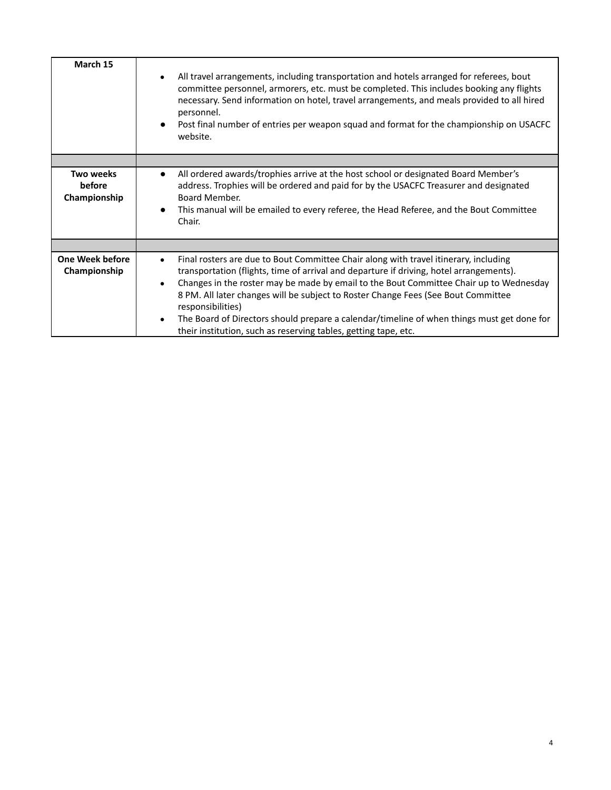| March 15                                   | All travel arrangements, including transportation and hotels arranged for referees, bout<br>$\bullet$<br>committee personnel, armorers, etc. must be completed. This includes booking any flights<br>necessary. Send information on hotel, travel arrangements, and meals provided to all hired<br>personnel.<br>Post final number of entries per weapon squad and format for the championship on USACFC<br>$\bullet$<br>website.                                                                                                                                                           |
|--------------------------------------------|---------------------------------------------------------------------------------------------------------------------------------------------------------------------------------------------------------------------------------------------------------------------------------------------------------------------------------------------------------------------------------------------------------------------------------------------------------------------------------------------------------------------------------------------------------------------------------------------|
|                                            |                                                                                                                                                                                                                                                                                                                                                                                                                                                                                                                                                                                             |
| <b>Two weeks</b><br>before<br>Championship | All ordered awards/trophies arrive at the host school or designated Board Member's<br>$\bullet$<br>address. Trophies will be ordered and paid for by the USACFC Treasurer and designated<br>Board Member.<br>This manual will be emailed to every referee, the Head Referee, and the Bout Committee<br>$\bullet$<br>Chair.                                                                                                                                                                                                                                                                  |
|                                            |                                                                                                                                                                                                                                                                                                                                                                                                                                                                                                                                                                                             |
| <b>One Week before</b><br>Championship     | Final rosters are due to Bout Committee Chair along with travel itinerary, including<br>$\bullet$<br>transportation (flights, time of arrival and departure if driving, hotel arrangements).<br>Changes in the roster may be made by email to the Bout Committee Chair up to Wednesday<br>$\bullet$<br>8 PM. All later changes will be subject to Roster Change Fees (See Bout Committee<br>responsibilities)<br>The Board of Directors should prepare a calendar/timeline of when things must get done for<br>$\bullet$<br>their institution, such as reserving tables, getting tape, etc. |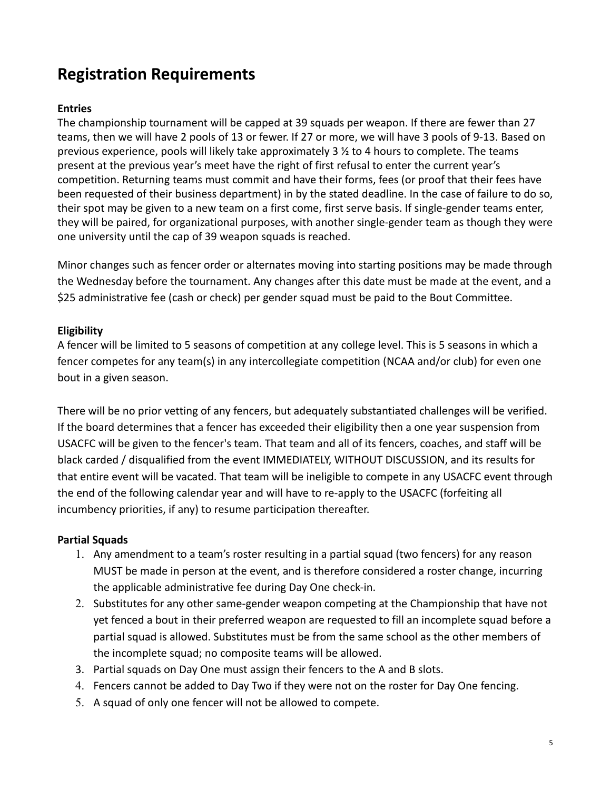# **Registration Requirements**

#### **Entries**

The championship tournament will be capped at 39 squads per weapon. If there are fewer than 27 teams, then we will have 2 pools of 13 or fewer. If 27 or more, we will have 3 pools of 9-13. Based on previous experience, pools will likely take approximately  $3 \frac{1}{2}$  to 4 hours to complete. The teams present at the previous year's meet have the right of first refusal to enter the current year's competition. Returning teams must commit and have their forms, fees (or proof that their fees have been requested of their business department) in by the stated deadline. In the case of failure to do so, their spot may be given to a new team on a first come, first serve basis. If single-gender teams enter, they will be paired, for organizational purposes, with another single-gender team as though they were one university until the cap of 39 weapon squads is reached.

Minor changes such as fencer order or alternates moving into starting positions may be made through the Wednesday before the tournament. Any changes after this date must be made at the event, and a \$25 administrative fee (cash or check) per gender squad must be paid to the Bout Committee.

#### **Eligibility**

A fencer will be limited to 5 seasons of competition at any college level. This is 5 seasons in which a fencer competes for any team(s) in any intercollegiate competition (NCAA and/or club) for even one bout in a given season.

There will be no prior vetting of any fencers, but adequately substantiated challenges will be verified. If the board determines that a fencer has exceeded their eligibility then a one year suspension from USACFC will be given to the fencer's team. That team and all of its fencers, coaches, and staff will be black carded / disqualified from the event IMMEDIATELY, WITHOUT DISCUSSION, and its results for that entire event will be vacated. That team will be ineligible to compete in any USACFC event through the end of the following calendar year and will have to re-apply to the USACFC (forfeiting all incumbency priorities, if any) to resume participation thereafter.

#### **Partial Squads**

- 1. Any amendment to a team's roster resulting in a partial squad (two fencers) for any reason MUST be made in person at the event, and is therefore considered a roster change, incurring the applicable administrative fee during Day One check-in.
- 2. Substitutes for any other same-gender weapon competing at the Championship that have not yet fenced a bout in their preferred weapon are requested to fill an incomplete squad before a partial squad is allowed. Substitutes must be from the same school as the other members of the incomplete squad; no composite teams will be allowed.
- 3. Partial squads on Day One must assign their fencers to the A and B slots.
- 4. Fencers cannot be added to Day Two if they were not on the roster for Day One fencing.
- 5. A squad of only one fencer will not be allowed to compete.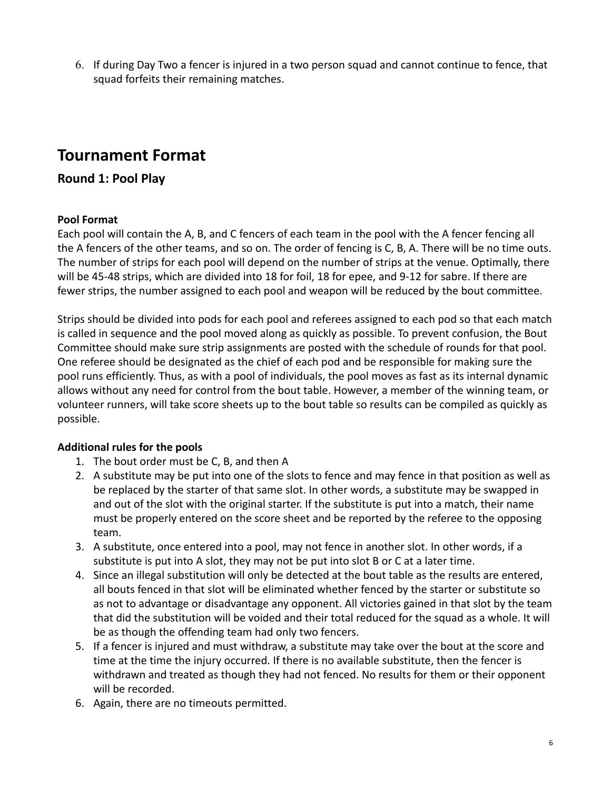6. If during Day Two a fencer is injured in a two person squad and cannot continue to fence, that squad forfeits their remaining matches.

## **Tournament Format**

### <span id="page-5-0"></span>**Round 1: Pool Play**

#### <span id="page-5-1"></span>**Pool Format**

Each pool will contain the A, B, and C fencers of each team in the pool with the A fencer fencing all the A fencers of the other teams, and so on. The order of fencing is C, B, A. There will be no time outs. The number of strips for each pool will depend on the number of strips at the venue. Optimally, there will be 45-48 strips, which are divided into 18 for foil, 18 for epee, and 9-12 for sabre. If there are fewer strips, the number assigned to each pool and weapon will be reduced by the bout committee.

Strips should be divided into pods for each pool and referees assigned to each pod so that each match is called in sequence and the pool moved along as quickly as possible. To prevent confusion, the Bout Committee should make sure strip assignments are posted with the schedule of rounds for that pool. One referee should be designated as the chief of each pod and be responsible for making sure the pool runs efficiently. Thus, as with a pool of individuals, the pool moves as fast as its internal dynamic allows without any need for control from the bout table. However, a member of the winning team, or volunteer runners, will take score sheets up to the bout table so results can be compiled as quickly as possible.

#### <span id="page-5-2"></span>**Additional rules for the pools**

- 1. The bout order must be C, B, and then A
- 2. A substitute may be put into one of the slots to fence and may fence in that position as well as be replaced by the starter of that same slot. In other words, a substitute may be swapped in and out of the slot with the original starter. If the substitute is put into a match, their name must be properly entered on the score sheet and be reported by the referee to the opposing team.
- 3. A substitute, once entered into a pool, may not fence in another slot. In other words, if a substitute is put into A slot, they may not be put into slot B or C at a later time.
- 4. Since an illegal substitution will only be detected at the bout table as the results are entered, all bouts fenced in that slot will be eliminated whether fenced by the starter or substitute so as not to advantage or disadvantage any opponent. All victories gained in that slot by the team that did the substitution will be voided and their total reduced for the squad as a whole. It will be as though the offending team had only two fencers.
- 5. If a fencer is injured and must withdraw, a substitute may take over the bout at the score and time at the time the injury occurred. If there is no available substitute, then the fencer is withdrawn and treated as though they had not fenced. No results for them or their opponent will be recorded.
- 6. Again, there are no timeouts permitted.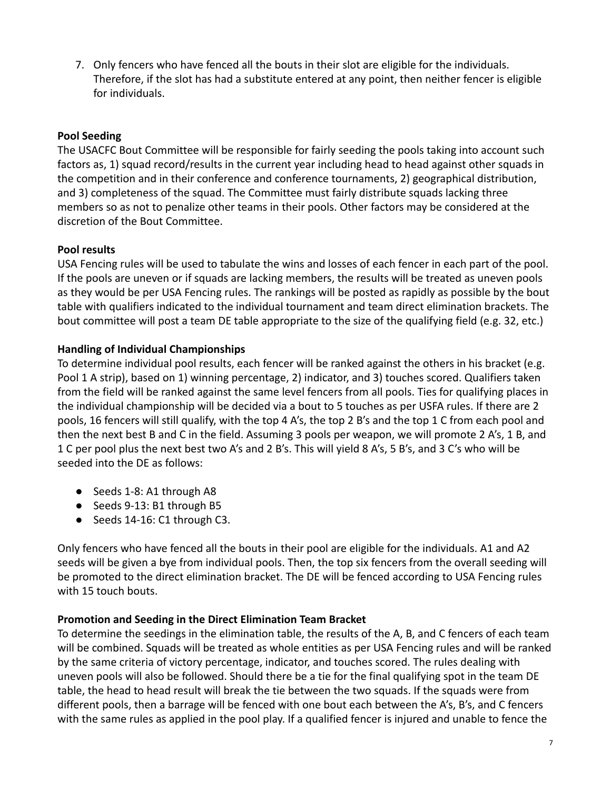7. Only fencers who have fenced all the bouts in their slot are eligible for the individuals. Therefore, if the slot has had a substitute entered at any point, then neither fencer is eligible for individuals.

#### <span id="page-6-0"></span>**Pool Seeding**

The USACFC Bout Committee will be responsible for fairly seeding the pools taking into account such factors as, 1) squad record/results in the current year including head to head against other squads in the competition and in their conference and conference tournaments, 2) geographical distribution, and 3) completeness of the squad. The Committee must fairly distribute squads lacking three members so as not to penalize other teams in their pools. Other factors may be considered at the discretion of the Bout Committee.

### <span id="page-6-1"></span>**Pool results**

USA Fencing rules will be used to tabulate the wins and losses of each fencer in each part of the pool. If the pools are uneven or if squads are lacking members, the results will be treated as uneven pools as they would be per USA Fencing rules. The rankings will be posted as rapidly as possible by the bout table with qualifiers indicated to the individual tournament and team direct elimination brackets. The bout committee will post a team DE table appropriate to the size of the qualifying field (e.g. 32, etc.)

### <span id="page-6-2"></span>**Handling of Individual Championships**

To determine individual pool results, each fencer will be ranked against the others in his bracket (e.g. Pool 1 A strip), based on 1) winning percentage, 2) indicator, and 3) touches scored. Qualifiers taken from the field will be ranked against the same level fencers from all pools. Ties for qualifying places in the individual championship will be decided via a bout to 5 touches as per USFA rules. If there are 2 pools, 16 fencers will still qualify, with the top 4 A's, the top 2 B's and the top 1 C from each pool and then the next best B and C in the field. Assuming 3 pools per weapon, we will promote 2 A's, 1 B, and 1 C per pool plus the next best two A's and 2 B's. This will yield 8 A's, 5 B's, and 3 C's who will be seeded into the DE as follows:

- Seeds 1-8: A1 through A8
- Seeds 9-13: B1 through B5
- Seeds 14-16: C1 through C3.

Only fencers who have fenced all the bouts in their pool are eligible for the individuals. A1 and A2 seeds will be given a bye from individual pools. Then, the top six fencers from the overall seeding will be promoted to the direct elimination bracket. The DE will be fenced according to USA Fencing rules with 15 touch bouts.

### <span id="page-6-3"></span>**Promotion and Seeding in the Direct Elimination Team Bracket**

To determine the seedings in the elimination table, the results of the A, B, and C fencers of each team will be combined. Squads will be treated as whole entities as per USA Fencing rules and will be ranked by the same criteria of victory percentage, indicator, and touches scored. The rules dealing with uneven pools will also be followed. Should there be a tie for the final qualifying spot in the team DE table, the head to head result will break the tie between the two squads. If the squads were from different pools, then a barrage will be fenced with one bout each between the A's, B's, and C fencers with the same rules as applied in the pool play. If a qualified fencer is injured and unable to fence the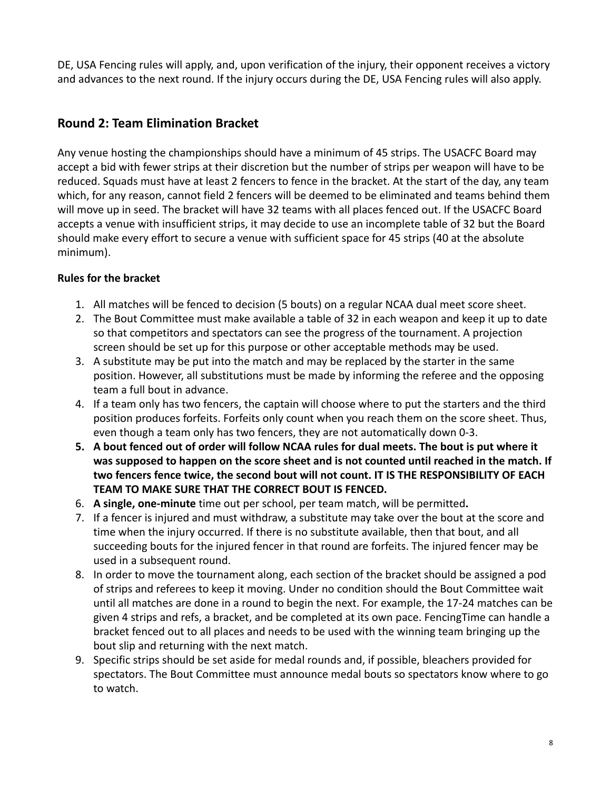DE, USA Fencing rules will apply, and, upon verification of the injury, their opponent receives a victory and advances to the next round. If the injury occurs during the DE, USA Fencing rules will also apply.

### <span id="page-7-0"></span>**Round 2: Team Elimination Bracket**

Any venue hosting the championships should have a minimum of 45 strips. The USACFC Board may accept a bid with fewer strips at their discretion but the number of strips per weapon will have to be reduced. Squads must have at least 2 fencers to fence in the bracket. At the start of the day, any team which, for any reason, cannot field 2 fencers will be deemed to be eliminated and teams behind them will move up in seed. The bracket will have 32 teams with all places fenced out. If the USACFC Board accepts a venue with insufficient strips, it may decide to use an incomplete table of 32 but the Board should make every effort to secure a venue with sufficient space for 45 strips (40 at the absolute minimum).

### <span id="page-7-1"></span>**Rules for the bracket**

- 1. All matches will be fenced to decision (5 bouts) on a regular NCAA dual meet score sheet.
- 2. The Bout Committee must make available a table of 32 in each weapon and keep it up to date so that competitors and spectators can see the progress of the tournament. A projection screen should be set up for this purpose or other acceptable methods may be used.
- 3. A substitute may be put into the match and may be replaced by the starter in the same position. However, all substitutions must be made by informing the referee and the opposing team a full bout in advance.
- 4. If a team only has two fencers, the captain will choose where to put the starters and the third position produces forfeits. Forfeits only count when you reach them on the score sheet. Thus, even though a team only has two fencers, they are not automatically down 0-3.
- **5. A bout fenced out of order will follow NCAA rules for dual meets. The bout is put where it was supposed to happen on the score sheet and is not counted until reached in the match. If two fencers fence twice, the second bout will not count. IT IS THE RESPONSIBILITY OF EACH TEAM TO MAKE SURE THAT THE CORRECT BOUT IS FENCED.**
- 6. **A single, one-minute** time out per school, per team match, will be permitted**.**
- 7. If a fencer is injured and must withdraw, a substitute may take over the bout at the score and time when the injury occurred. If there is no substitute available, then that bout, and all succeeding bouts for the injured fencer in that round are forfeits. The injured fencer may be used in a subsequent round.
- 8. In order to move the tournament along, each section of the bracket should be assigned a pod of strips and referees to keep it moving. Under no condition should the Bout Committee wait until all matches are done in a round to begin the next. For example, the 17-24 matches can be given 4 strips and refs, a bracket, and be completed at its own pace. FencingTime can handle a bracket fenced out to all places and needs to be used with the winning team bringing up the bout slip and returning with the next match.
- 9. Specific strips should be set aside for medal rounds and, if possible, bleachers provided for spectators. The Bout Committee must announce medal bouts so spectators know where to go to watch.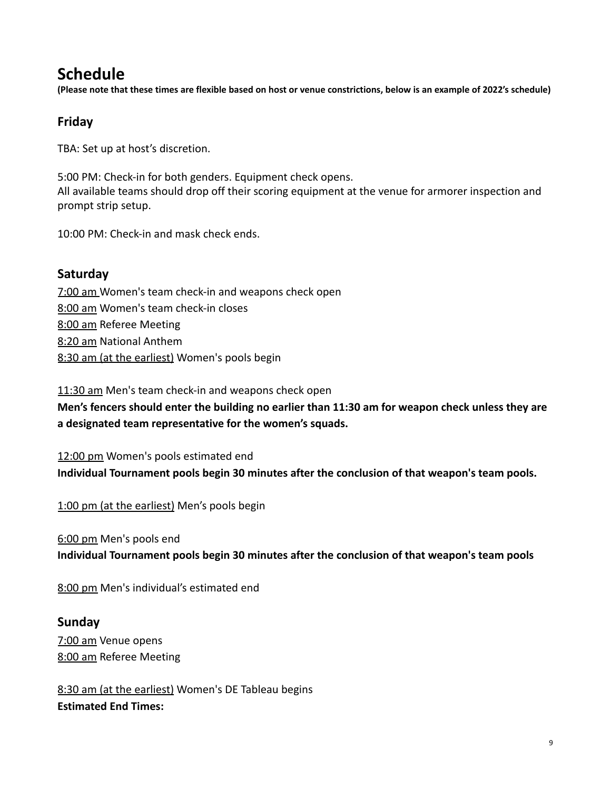## **Schedule**

(Please note that these times are flexible based on host or venue constrictions, below is an example of 2022's schedule)

### <span id="page-8-0"></span>**Friday**

TBA: Set up at host's discretion.

5:00 PM: Check-in for both genders. Equipment check opens. All available teams should drop off their scoring equipment at the venue for armorer inspection and prompt strip setup.

10:00 PM: Check-in and mask check ends.

### **Saturday**

7:00 am Women's team check-in and weapons check open 8:00 am Women's team check-in closes 8:00 am Referee Meeting 8:20 am National Anthem 8:30 am (at the earliest) Women's pools begin

11:30 am Men's team check-in and weapons check open

**Men's fencers should enter the building no earlier than 11:30 am for weapon check unless they are a designated team representative for the women's squads.**

12:00 pm Women's pools estimated end **Individual Tournament pools begin 30 minutes after the conclusion of that weapon's team pools.**

1:00 pm (at the earliest) Men's pools begin

6:00 pm Men's pools end

**Individual Tournament pools begin 30 minutes after the conclusion of that weapon's team pools**

8:00 pm Men's individual's estimated end

#### **Sunday**

7:00 am Venue opens 8:00 am Referee Meeting

8:30 am (at the earliest) Women's DE Tableau begins **Estimated End Times:**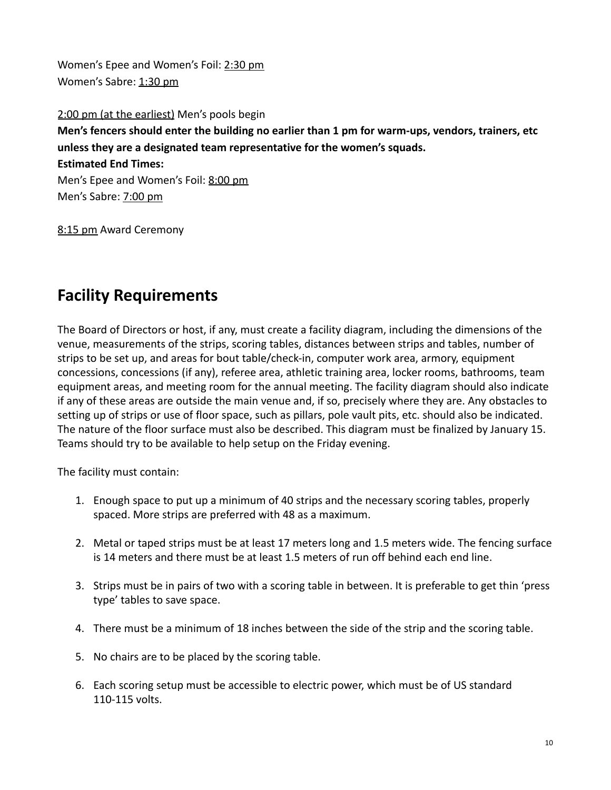Women's Epee and Women's Foil: 2:30 pm Women's Sabre: 1:30 pm

2:00 pm (at the earliest) Men's pools begin **Men's fencers should enter the building no earlier than 1 pm for warm-ups, vendors, trainers, etc unless they are a designated team representative for the women's squads. Estimated End Times:** Men's Epee and Women's Foil: 8:00 pm Men's Sabre: 7:00 pm

8:15 pm Award Ceremony

# <span id="page-9-0"></span>**Facility Requirements**

The Board of Directors or host, if any, must create a facility diagram, including the dimensions of the venue, measurements of the strips, scoring tables, distances between strips and tables, number of strips to be set up, and areas for bout table/check-in, computer work area, armory, equipment concessions, concessions (if any), referee area, athletic training area, locker rooms, bathrooms, team equipment areas, and meeting room for the annual meeting. The facility diagram should also indicate if any of these areas are outside the main venue and, if so, precisely where they are. Any obstacles to setting up of strips or use of floor space, such as pillars, pole vault pits, etc. should also be indicated. The nature of the floor surface must also be described. This diagram must be finalized by January 15. Teams should try to be available to help setup on the Friday evening.

The facility must contain:

- 1. Enough space to put up a minimum of 40 strips and the necessary scoring tables, properly spaced. More strips are preferred with 48 as a maximum.
- 2. Metal or taped strips must be at least 17 meters long and 1.5 meters wide. The fencing surface is 14 meters and there must be at least 1.5 meters of run off behind each end line.
- 3. Strips must be in pairs of two with a scoring table in between. It is preferable to get thin 'press type' tables to save space.
- 4. There must be a minimum of 18 inches between the side of the strip and the scoring table.
- 5. No chairs are to be placed by the scoring table.
- 6. Each scoring setup must be accessible to electric power, which must be of US standard 110-115 volts.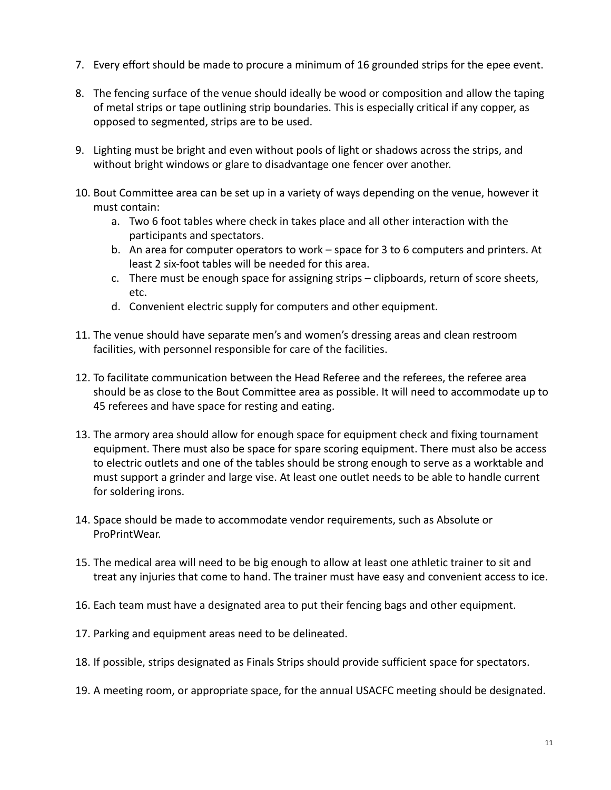- 7. Every effort should be made to procure a minimum of 16 grounded strips for the epee event.
- 8. The fencing surface of the venue should ideally be wood or composition and allow the taping of metal strips or tape outlining strip boundaries. This is especially critical if any copper, as opposed to segmented, strips are to be used.
- 9. Lighting must be bright and even without pools of light or shadows across the strips, and without bright windows or glare to disadvantage one fencer over another.
- 10. Bout Committee area can be set up in a variety of ways depending on the venue, however it must contain:
	- a. Two 6 foot tables where check in takes place and all other interaction with the participants and spectators.
	- b. An area for computer operators to work space for 3 to 6 computers and printers. At least 2 six-foot tables will be needed for this area.
	- c. There must be enough space for assigning strips clipboards, return of score sheets, etc.
	- d. Convenient electric supply for computers and other equipment.
- 11. The venue should have separate men's and women's dressing areas and clean restroom facilities, with personnel responsible for care of the facilities.
- 12. To facilitate communication between the Head Referee and the referees, the referee area should be as close to the Bout Committee area as possible. It will need to accommodate up to 45 referees and have space for resting and eating.
- 13. The armory area should allow for enough space for equipment check and fixing tournament equipment. There must also be space for spare scoring equipment. There must also be access to electric outlets and one of the tables should be strong enough to serve as a worktable and must support a grinder and large vise. At least one outlet needs to be able to handle current for soldering irons.
- 14. Space should be made to accommodate vendor requirements, such as Absolute or ProPrintWear.
- 15. The medical area will need to be big enough to allow at least one athletic trainer to sit and treat any injuries that come to hand. The trainer must have easy and convenient access to ice.
- 16. Each team must have a designated area to put their fencing bags and other equipment.
- 17. Parking and equipment areas need to be delineated.
- 18. If possible, strips designated as Finals Strips should provide sufficient space for spectators.
- 19. A meeting room, or appropriate space, for the annual USACFC meeting should be designated.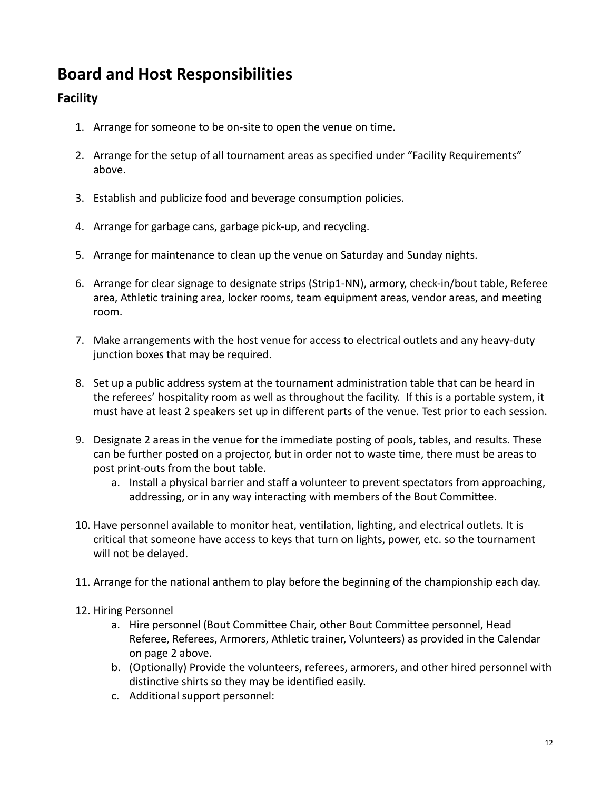# <span id="page-11-0"></span>**Board and Host Responsibilities**

## <span id="page-11-1"></span>**Facility**

- 1. Arrange for someone to be on-site to open the venue on time.
- 2. Arrange for the setup of all tournament areas as specified under "Facility Requirements" above.
- 3. Establish and publicize food and beverage consumption policies.
- 4. Arrange for garbage cans, garbage pick-up, and recycling.
- 5. Arrange for maintenance to clean up the venue on Saturday and Sunday nights.
- 6. Arrange for clear signage to designate strips (Strip1-NN), armory, check-in/bout table, Referee area, Athletic training area, locker rooms, team equipment areas, vendor areas, and meeting room.
- 7. Make arrangements with the host venue for access to electrical outlets and any heavy-duty junction boxes that may be required.
- 8. Set up a public address system at the tournament administration table that can be heard in the referees' hospitality room as well as throughout the facility. If this is a portable system, it must have at least 2 speakers set up in different parts of the venue. Test prior to each session.
- 9. Designate 2 areas in the venue for the immediate posting of pools, tables, and results. These can be further posted on a projector, but in order not to waste time, there must be areas to post print-outs from the bout table.
	- a. Install a physical barrier and staff a volunteer to prevent spectators from approaching, addressing, or in any way interacting with members of the Bout Committee.
- 10. Have personnel available to monitor heat, ventilation, lighting, and electrical outlets. It is critical that someone have access to keys that turn on lights, power, etc. so the tournament will not be delayed.
- 11. Arrange for the national anthem to play before the beginning of the championship each day.
- 12. Hiring Personnel
	- a. Hire personnel (Bout Committee Chair, other Bout Committee personnel, Head Referee, Referees, Armorers, Athletic trainer, Volunteers) as provided in the Calendar on page 2 above.
	- b. (Optionally) Provide the volunteers, referees, armorers, and other hired personnel with distinctive shirts so they may be identified easily.
	- c. Additional support personnel: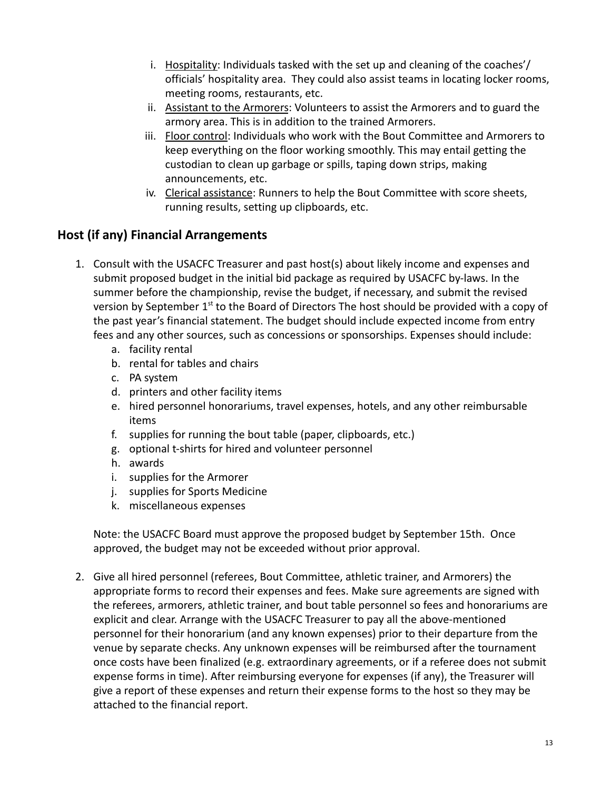- i. Hospitality: Individuals tasked with the set up and cleaning of the coaches'/ officials' hospitality area. They could also assist teams in locating locker rooms, meeting rooms, restaurants, etc.
- ii. Assistant to the Armorers: Volunteers to assist the Armorers and to guard the armory area. This is in addition to the trained Armorers.
- iii. Floor control: Individuals who work with the Bout Committee and Armorers to keep everything on the floor working smoothly. This may entail getting the custodian to clean up garbage or spills, taping down strips, making announcements, etc.
- iv. Clerical assistance: Runners to help the Bout Committee with score sheets, running results, setting up clipboards, etc.

### <span id="page-12-0"></span>**Host (if any) Financial Arrangements**

- 1. Consult with the USACFC Treasurer and past host(s) about likely income and expenses and submit proposed budget in the initial bid package as required by USACFC by-laws. In the summer before the championship, revise the budget, if necessary, and submit the revised version by September 1<sup>st</sup> to the Board of Directors The host should be provided with a copy of the past year's financial statement. The budget should include expected income from entry fees and any other sources, such as concessions or sponsorships. Expenses should include:
	- a. facility rental
	- b. rental for tables and chairs
	- c. PA system
	- d. printers and other facility items
	- e. hired personnel honorariums, travel expenses, hotels, and any other reimbursable items
	- f. supplies for running the bout table (paper, clipboards, etc.)
	- g. optional t-shirts for hired and volunteer personnel
	- h. awards
	- i. supplies for the Armorer
	- j. supplies for Sports Medicine
	- k. miscellaneous expenses

Note: the USACFC Board must approve the proposed budget by September 15th. Once approved, the budget may not be exceeded without prior approval.

2. Give all hired personnel (referees, Bout Committee, athletic trainer, and Armorers) the appropriate forms to record their expenses and fees. Make sure agreements are signed with the referees, armorers, athletic trainer, and bout table personnel so fees and honorariums are explicit and clear. Arrange with the USACFC Treasurer to pay all the above-mentioned personnel for their honorarium (and any known expenses) prior to their departure from the venue by separate checks. Any unknown expenses will be reimbursed after the tournament once costs have been finalized (e.g. extraordinary agreements, or if a referee does not submit expense forms in time). After reimbursing everyone for expenses (if any), the Treasurer will give a report of these expenses and return their expense forms to the host so they may be attached to the financial report.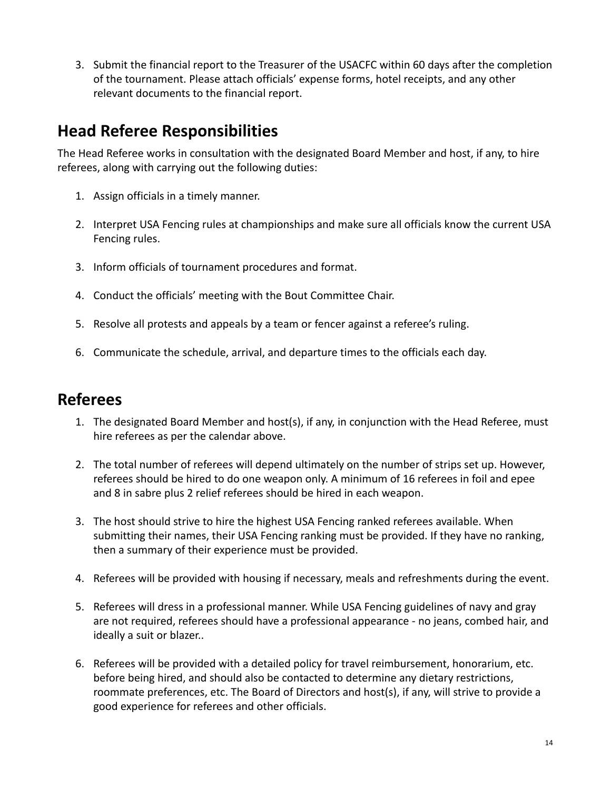3. Submit the financial report to the Treasurer of the USACFC within 60 days after the completion of the tournament. Please attach officials' expense forms, hotel receipts, and any other relevant documents to the financial report.

# <span id="page-13-0"></span>**Head Referee Responsibilities**

The Head Referee works in consultation with the designated Board Member and host, if any, to hire referees, along with carrying out the following duties:

- 1. Assign officials in a timely manner.
- 2. Interpret USA Fencing rules at championships and make sure all officials know the current USA Fencing rules.
- 3. Inform officials of tournament procedures and format.
- 4. Conduct the officials' meeting with the Bout Committee Chair.
- 5. Resolve all protests and appeals by a team or fencer against a referee's ruling.
- 6. Communicate the schedule, arrival, and departure times to the officials each day.

## <span id="page-13-1"></span>**Referees**

- 1. The designated Board Member and host(s), if any, in conjunction with the Head Referee, must hire referees as per the calendar above.
- 2. The total number of referees will depend ultimately on the number of strips set up. However, referees should be hired to do one weapon only. A minimum of 16 referees in foil and epee and 8 in sabre plus 2 relief referees should be hired in each weapon.
- 3. The host should strive to hire the highest USA Fencing ranked referees available. When submitting their names, their USA Fencing ranking must be provided. If they have no ranking, then a summary of their experience must be provided.
- 4. Referees will be provided with housing if necessary, meals and refreshments during the event.
- 5. Referees will dress in a professional manner. While USA Fencing guidelines of navy and gray are not required, referees should have a professional appearance - no jeans, combed hair, and ideally a suit or blazer..
- 6. Referees will be provided with a detailed policy for travel reimbursement, honorarium, etc. before being hired, and should also be contacted to determine any dietary restrictions, roommate preferences, etc. The Board of Directors and host(s), if any, will strive to provide a good experience for referees and other officials.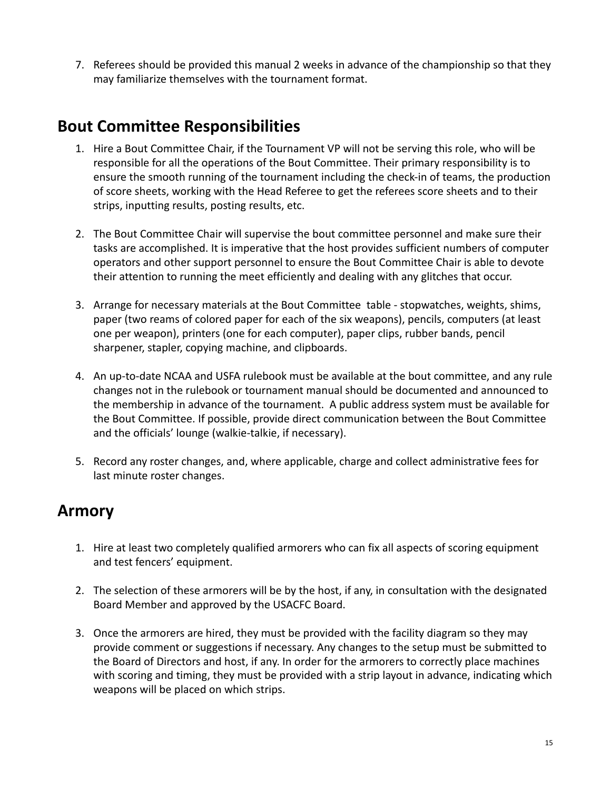7. Referees should be provided this manual 2 weeks in advance of the championship so that they may familiarize themselves with the tournament format.

## <span id="page-14-0"></span>**Bout Committee Responsibilities**

- 1. Hire a Bout Committee Chair, if the Tournament VP will not be serving this role, who will be responsible for all the operations of the Bout Committee. Their primary responsibility is to ensure the smooth running of the tournament including the check-in of teams, the production of score sheets, working with the Head Referee to get the referees score sheets and to their strips, inputting results, posting results, etc.
- 2. The Bout Committee Chair will supervise the bout committee personnel and make sure their tasks are accomplished. It is imperative that the host provides sufficient numbers of computer operators and other support personnel to ensure the Bout Committee Chair is able to devote their attention to running the meet efficiently and dealing with any glitches that occur.
- 3. Arrange for necessary materials at the Bout Committee table stopwatches, weights, shims, paper (two reams of colored paper for each of the six weapons), pencils, computers (at least one per weapon), printers (one for each computer), paper clips, rubber bands, pencil sharpener, stapler, copying machine, and clipboards.
- 4. An up-to-date NCAA and USFA rulebook must be available at the bout committee, and any rule changes not in the rulebook or tournament manual should be documented and announced to the membership in advance of the tournament. A public address system must be available for the Bout Committee. If possible, provide direct communication between the Bout Committee and the officials' lounge (walkie-talkie, if necessary).
- 5. Record any roster changes, and, where applicable, charge and collect administrative fees for last minute roster changes.

## <span id="page-14-1"></span>**Armory**

- 1. Hire at least two completely qualified armorers who can fix all aspects of scoring equipment and test fencers' equipment.
- 2. The selection of these armorers will be by the host, if any, in consultation with the designated Board Member and approved by the USACFC Board.
- 3. Once the armorers are hired, they must be provided with the facility diagram so they may provide comment or suggestions if necessary. Any changes to the setup must be submitted to the Board of Directors and host, if any. In order for the armorers to correctly place machines with scoring and timing, they must be provided with a strip layout in advance, indicating which weapons will be placed on which strips.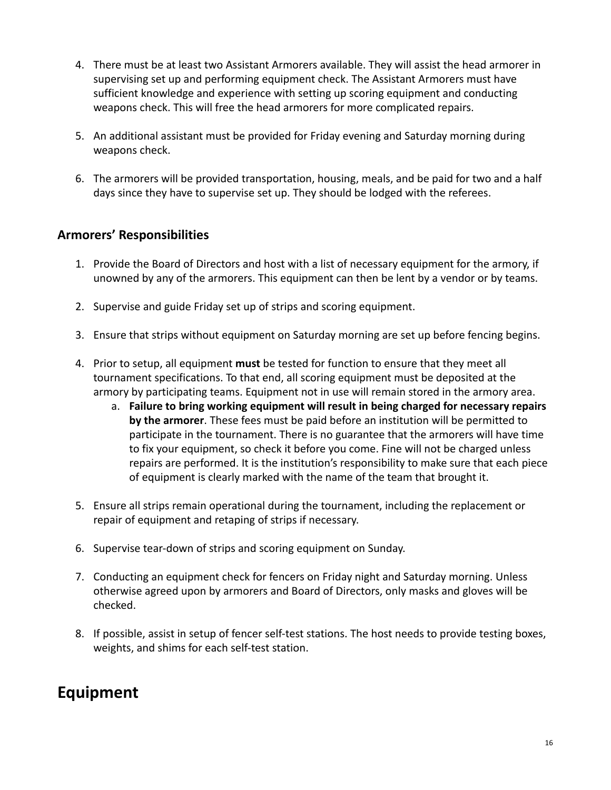- 4. There must be at least two Assistant Armorers available. They will assist the head armorer in supervising set up and performing equipment check. The Assistant Armorers must have sufficient knowledge and experience with setting up scoring equipment and conducting weapons check. This will free the head armorers for more complicated repairs.
- 5. An additional assistant must be provided for Friday evening and Saturday morning during weapons check.
- 6. The armorers will be provided transportation, housing, meals, and be paid for two and a half days since they have to supervise set up. They should be lodged with the referees.

### <span id="page-15-0"></span>**Armorers' Responsibilities**

- 1. Provide the Board of Directors and host with a list of necessary equipment for the armory, if unowned by any of the armorers. This equipment can then be lent by a vendor or by teams.
- 2. Supervise and guide Friday set up of strips and scoring equipment.
- 3. Ensure that strips without equipment on Saturday morning are set up before fencing begins.
- 4. Prior to setup, all equipment **must** be tested for function to ensure that they meet all tournament specifications. To that end, all scoring equipment must be deposited at the armory by participating teams. Equipment not in use will remain stored in the armory area.
	- a. **Failure to bring working equipment will result in being charged for necessary repairs by the armorer**. These fees must be paid before an institution will be permitted to participate in the tournament. There is no guarantee that the armorers will have time to fix your equipment, so check it before you come. Fine will not be charged unless repairs are performed. It is the institution's responsibility to make sure that each piece of equipment is clearly marked with the name of the team that brought it.
- 5. Ensure all strips remain operational during the tournament, including the replacement or repair of equipment and retaping of strips if necessary.
- 6. Supervise tear-down of strips and scoring equipment on Sunday.
- 7. Conducting an equipment check for fencers on Friday night and Saturday morning. Unless otherwise agreed upon by armorers and Board of Directors, only masks and gloves will be checked.
- 8. If possible, assist in setup of fencer self-test stations. The host needs to provide testing boxes, weights, and shims for each self-test station.

# <span id="page-15-1"></span>**Equipment**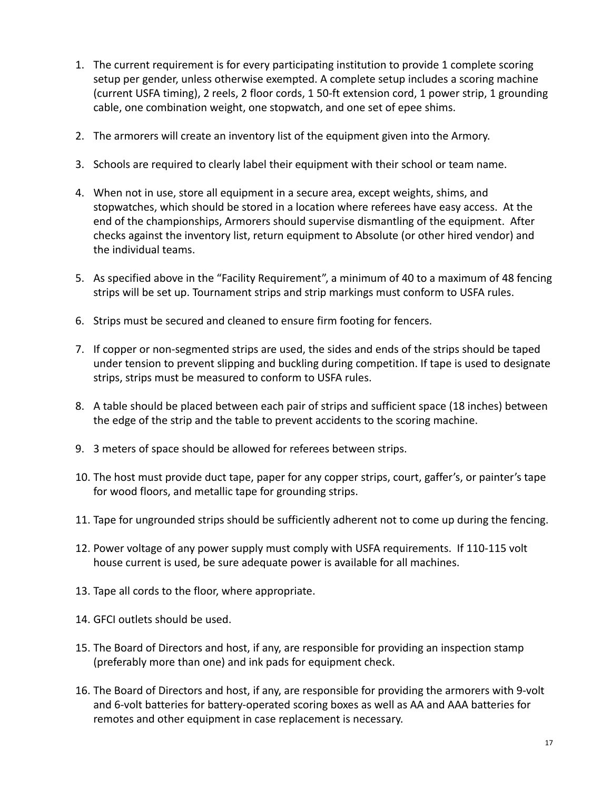- 1. The current requirement is for every participating institution to provide 1 complete scoring setup per gender, unless otherwise exempted. A complete setup includes a scoring machine (current USFA timing), 2 reels, 2 floor cords, 1 50-ft extension cord, 1 power strip, 1 grounding cable, one combination weight, one stopwatch, and one set of epee shims.
- 2. The armorers will create an inventory list of the equipment given into the Armory.
- 3. Schools are required to clearly label their equipment with their school or team name.
- 4. When not in use, store all equipment in a secure area, except weights, shims, and stopwatches, which should be stored in a location where referees have easy access. At the end of the championships, Armorers should supervise dismantling of the equipment. After checks against the inventory list, return equipment to Absolute (or other hired vendor) and the individual teams.
- 5. As specified above in the "Facility Requirement", a minimum of 40 to a maximum of 48 fencing strips will be set up. Tournament strips and strip markings must conform to USFA rules.
- 6. Strips must be secured and cleaned to ensure firm footing for fencers.
- 7. If copper or non-segmented strips are used, the sides and ends of the strips should be taped under tension to prevent slipping and buckling during competition. If tape is used to designate strips, strips must be measured to conform to USFA rules.
- 8. A table should be placed between each pair of strips and sufficient space (18 inches) between the edge of the strip and the table to prevent accidents to the scoring machine.
- 9. 3 meters of space should be allowed for referees between strips.
- 10. The host must provide duct tape, paper for any copper strips, court, gaffer's, or painter's tape for wood floors, and metallic tape for grounding strips.
- 11. Tape for ungrounded strips should be sufficiently adherent not to come up during the fencing.
- 12. Power voltage of any power supply must comply with USFA requirements. If 110-115 volt house current is used, be sure adequate power is available for all machines.
- 13. Tape all cords to the floor, where appropriate.
- 14. GFCI outlets should be used.
- 15. The Board of Directors and host, if any, are responsible for providing an inspection stamp (preferably more than one) and ink pads for equipment check.
- 16. The Board of Directors and host, if any, are responsible for providing the armorers with 9-volt and 6-volt batteries for battery-operated scoring boxes as well as AA and AAA batteries for remotes and other equipment in case replacement is necessary.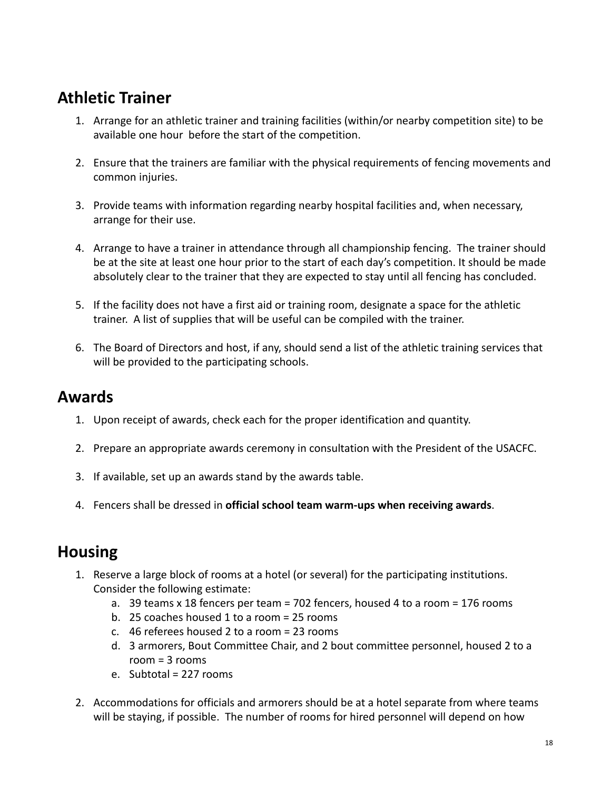# <span id="page-17-0"></span>**Athletic Trainer**

- 1. Arrange for an athletic trainer and training facilities (within/or nearby competition site) to be available one hour before the start of the competition.
- 2. Ensure that the trainers are familiar with the physical requirements of fencing movements and common injuries.
- 3. Provide teams with information regarding nearby hospital facilities and, when necessary, arrange for their use.
- 4. Arrange to have a trainer in attendance through all championship fencing. The trainer should be at the site at least one hour prior to the start of each day's competition. It should be made absolutely clear to the trainer that they are expected to stay until all fencing has concluded.
- 5. If the facility does not have a first aid or training room, designate a space for the athletic trainer. A list of supplies that will be useful can be compiled with the trainer.
- 6. The Board of Directors and host, if any, should send a list of the athletic training services that will be provided to the participating schools.

## <span id="page-17-1"></span>**Awards**

- 1. Upon receipt of awards, check each for the proper identification and quantity.
- 2. Prepare an appropriate awards ceremony in consultation with the President of the USACFC.
- 3. If available, set up an awards stand by the awards table.
- 4. Fencers shall be dressed in **official school team warm-ups when receiving awards**.

## <span id="page-17-2"></span>**Housing**

- 1. Reserve a large block of rooms at a hotel (or several) for the participating institutions. Consider the following estimate:
	- a. 39 teams x 18 fencers per team = 702 fencers, housed 4 to a room = 176 rooms
	- b. 25 coaches housed 1 to a room = 25 rooms
	- c. 46 referees housed 2 to a room = 23 rooms
	- d. 3 armorers, Bout Committee Chair, and 2 bout committee personnel, housed 2 to a room = 3 rooms
	- e. Subtotal = 227 rooms
- 2. Accommodations for officials and armorers should be at a hotel separate from where teams will be staying, if possible. The number of rooms for hired personnel will depend on how